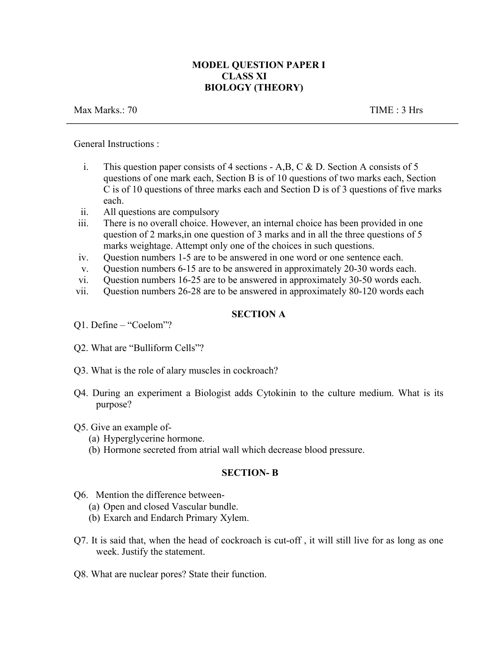# **MODEL QUESTION PAPER I CLASS XI BIOLOGY (THEORY)**

Max Marks.: 70 TIME : 3 Hrs

General Instructions :

- i. This question paper consists of 4 sections A,B, C & D. Section A consists of 5 questions of one mark each, Section B is of 10 questions of two marks each, Section C is of 10 questions of three marks each and Section D is of 3 questions of five marks each.
- ii. All questions are compulsory
- iii. There is no overall choice. However, an internal choice has been provided in one question of 2 marks,in one question of 3 marks and in all the three questions of 5 marks weightage. Attempt only one of the choices in such questions.
- iv. Question numbers 1-5 are to be answered in one word or one sentence each.
- v. Question numbers 6-15 are to be answered in approximately 20-30 words each.
- vi. Question numbers 16-25 are to be answered in approximately 30-50 words each.
- vii. Question numbers 26-28 are to be answered in approximately 80-120 words each

# **SECTION A**

- Q2. What are "Bulliform Cells"?
- Q3. What is the role of alary muscles in cockroach?
- Q4. During an experiment a Biologist adds Cytokinin to the culture medium. What is its purpose?

## Q5. Give an example of-

- (a) Hyperglycerine hormone.
- (b) Hormone secreted from atrial wall which decrease blood pressure.

# **SECTION- B**

- Q6. Mention the difference between-
	- (a) Open and closed Vascular bundle.
	- (b) Exarch and Endarch Primary Xylem.
- Q7. It is said that, when the head of cockroach is cut-off , it will still live for as long as one week. Justify the statement.
- Q8. What are nuclear pores? State their function.

Q1. Define – "Coelom"?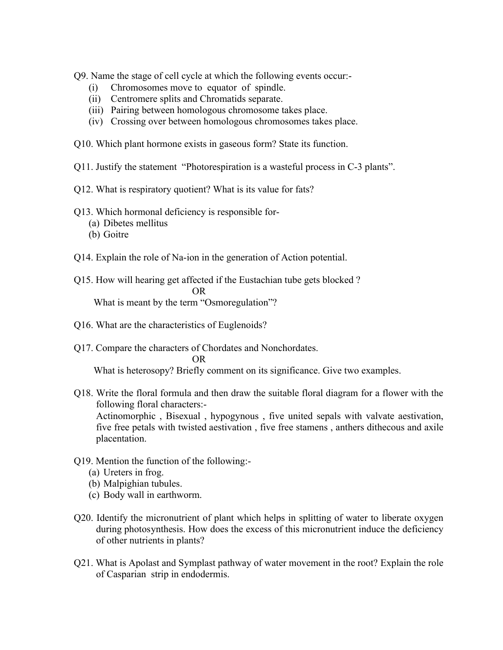Q9. Name the stage of cell cycle at which the following events occur:-

- (i) Chromosomes move to equator of spindle.
- (ii) Centromere splits and Chromatids separate.
- (iii) Pairing between homologous chromosome takes place.
- (iv) Crossing over between homologous chromosomes takes place.
- Q10. Which plant hormone exists in gaseous form? State its function.
- Q11. Justify the statement "Photorespiration is a wasteful process in C-3 plants".
- Q12. What is respiratory quotient? What is its value for fats?
- Q13. Which hormonal deficiency is responsible for-
	- (a) Dibetes mellitus
	- (b) Goitre
- Q14. Explain the role of Na-ion in the generation of Action potential.
- Q15. How will hearing get affected if the Eustachian tube gets blocked ? OR What is meant by the term "Osmoregulation"?
- Q16. What are the characteristics of Euglenoids?
- Q17. Compare the characters of Chordates and Nonchordates. OR What is heterosopy? Briefly comment on its significance. Give two examples.
- Q18. Write the floral formula and then draw the suitable floral diagram for a flower with the following floral characters:-

Actinomorphic , Bisexual , hypogynous , five united sepals with valvate aestivation, five free petals with twisted aestivation , five free stamens , anthers dithecous and axile placentation.

- Q19. Mention the function of the following:-
	- (a) Ureters in frog.
	- (b) Malpighian tubules.
	- (c) Body wall in earthworm.
- Q20. Identify the micronutrient of plant which helps in splitting of water to liberate oxygen during photosynthesis. How does the excess of this micronutrient induce the deficiency of other nutrients in plants?
- Q21. What is Apolast and Symplast pathway of water movement in the root? Explain the role of Casparian strip in endodermis.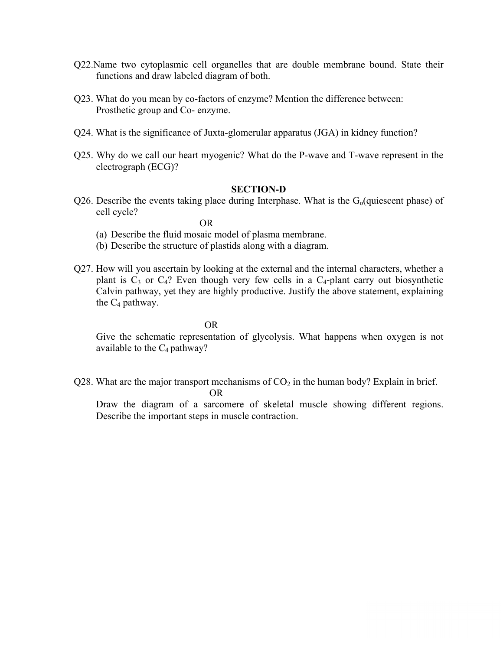- Q22.Name two cytoplasmic cell organelles that are double membrane bound. State their functions and draw labeled diagram of both.
- Q23. What do you mean by co-factors of enzyme? Mention the difference between: Prosthetic group and Co- enzyme.
- Q24. What is the significance of Juxta-glomerular apparatus (JGA) in kidney function?
- Q25. Why do we call our heart myogenic? What do the P-wave and T-wave represent in the electrograph (ECG)?

### **SECTION-D**

Q26. Describe the events taking place during Interphase. What is the  $G<sub>o</sub>(quiescent phase)$  of cell cycle?

OR

- (a) Describe the fluid mosaic model of plasma membrane.
- (b) Describe the structure of plastids along with a diagram.
- Q27. How will you ascertain by looking at the external and the internal characters, whether a plant is  $C_3$  or  $C_4$ ? Even though very few cells in a  $C_4$ -plant carry out biosynthetic Calvin pathway, yet they are highly productive. Justify the above statement, explaining the  $C_4$  pathway.

OR

Give the schematic representation of glycolysis. What happens when oxygen is not available to the  $C_4$  pathway?

Q28. What are the major transport mechanisms of  $CO<sub>2</sub>$  in the human body? Explain in brief.

OR

Draw the diagram of a sarcomere of skeletal muscle showing different regions. Describe the important steps in muscle contraction.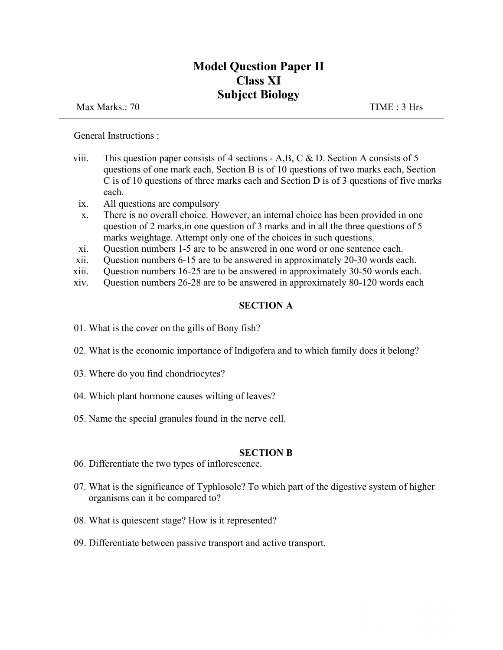# **Model Question Paper II Class XI Subject Biology**

Max Marks.: 70 TIME : 3 Hrs

General Instructions :

- viii. This question paper consists of 4 sections A,B, C & D. Section A consists of 5 questions of one mark each, Section B is of 10 questions of two marks each, Section C is of 10 questions of three marks each and Section D is of 3 questions of five marks each.
	- ix. All questions are compulsory
	- x. There is no overall choice. However, an internal choice has been provided in one question of 2 marks,in one question of 3 marks and in all the three questions of 5 marks weightage. Attempt only one of the choices in such questions.
- xi. Question numbers 1-5 are to be answered in one word or one sentence each.
- xii. Question numbers 6-15 are to be answered in approximately 20-30 words each.
- xiii. Question numbers 16-25 are to be answered in approximately 30-50 words each.
- xiv. Question numbers 26-28 are to be answered in approximately 80-120 words each

# **SECTION A**

- 01. What is the cover on the gills of Bony fish?
- 02. What is the economic importance of Indigofera and to which family does it belong?
- 03. Where do you find chondriocytes?
- 04. Which plant hormone causes wilting of leaves?
- 05. Name the special granules found in the nerve cell.

## **SECTION B**

- 06. Differentiate the two types of inflorescence.
- 07. What is the significance of Typhlosole? To which part of the digestive system of higher organisms can it be compared to?
- 08. What is quiescent stage? How is it represented?
- 09. Differentiate between passive transport and active transport.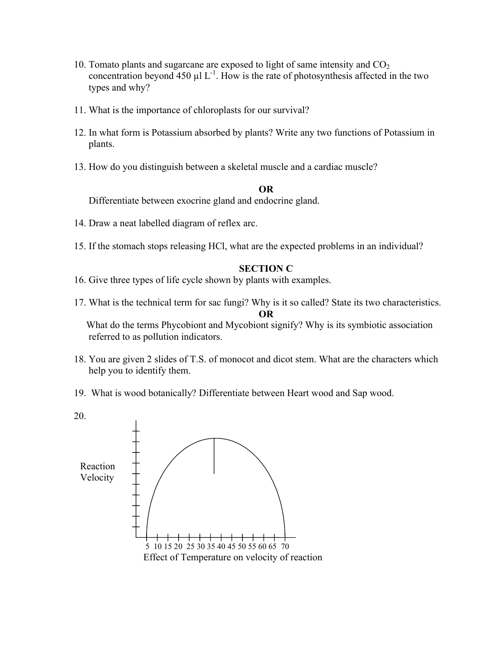- 10. Tomato plants and sugarcane are exposed to light of same intensity and  $CO<sub>2</sub>$ concentration beyond  $450 \mu l$  L<sup>-1</sup>. How is the rate of photosynthesis affected in the two types and why?
- 11. What is the importance of chloroplasts for our survival?
- 12. In what form is Potassium absorbed by plants? Write any two functions of Potassium in plants.
- 13. How do you distinguish between a skeletal muscle and a cardiac muscle?

### **OR**

Differentiate between exocrine gland and endocrine gland.

- 14. Draw a neat labelled diagram of reflex arc.
- 15. If the stomach stops releasing HCl, what are the expected problems in an individual?

### **SECTION C**

- 16. Give three types of life cycle shown by plants with examples.
- 17. What is the technical term for sac fungi? Why is it so called? State its two characteristics. **OR**

What do the terms Phycobiont and Mycobiont signify? Why is its symbiotic association referred to as pollution indicators.

- 18. You are given 2 slides of T.S. of monocot and dicot stem. What are the characters which help you to identify them.
- 19. What is wood botanically? Differentiate between Heart wood and Sap wood.

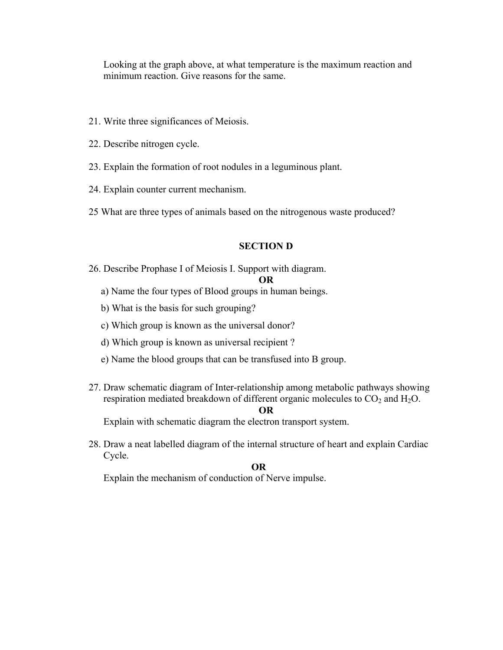Looking at the graph above, at what temperature is the maximum reaction and minimum reaction. Give reasons for the same.

- 21. Write three significances of Meiosis.
- 22. Describe nitrogen cycle.
- 23. Explain the formation of root nodules in a leguminous plant.
- 24. Explain counter current mechanism.
- 25 What are three types of animals based on the nitrogenous waste produced?

### **SECTION D**

26. Describe Prophase I of Meiosis I. Support with diagram.

### **OR**

- a) Name the four types of Blood groups in human beings.
- b) What is the basis for such grouping?
- c) Which group is known as the universal donor?
- d) Which group is known as universal recipient ?
- e) Name the blood groups that can be transfused into B group.
- 27. Draw schematic diagram of Inter-relationship among metabolic pathways showing respiration mediated breakdown of different organic molecules to  $CO<sub>2</sub>$  and  $H<sub>2</sub>O$ .

#### **OR**

Explain with schematic diagram the electron transport system.

28. Draw a neat labelled diagram of the internal structure of heart and explain Cardiac Cycle.

### **OR**

Explain the mechanism of conduction of Nerve impulse.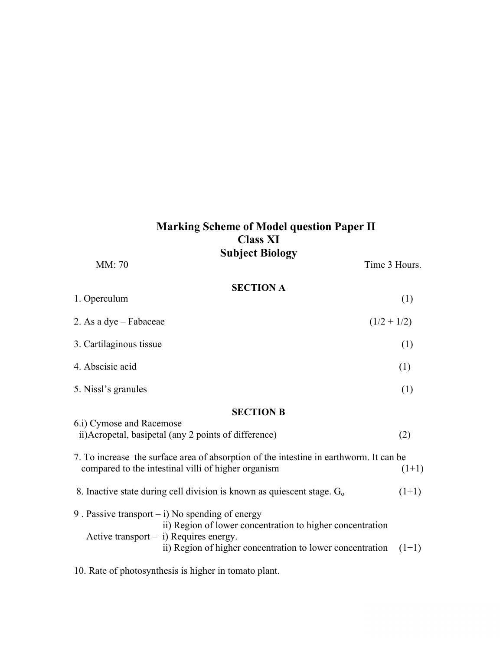# **Marking Scheme of Model question Paper II Class XI Subject Biology**

| MM: 70                   |                                                                                                                                                            | Time 3 Hours. |
|--------------------------|------------------------------------------------------------------------------------------------------------------------------------------------------------|---------------|
| 1. Operculum             | <b>SECTION A</b>                                                                                                                                           | (1)           |
| 2. As a dye – Fabaceae   |                                                                                                                                                            | $(1/2 + 1/2)$ |
| 3. Cartilaginous tissue  |                                                                                                                                                            | (1)           |
| 4. Abscisic acid         |                                                                                                                                                            | (1)           |
| 5. Nissl's granules      |                                                                                                                                                            | (1)           |
|                          | <b>SECTION B</b>                                                                                                                                           |               |
| 6.i) Cymose and Racemose | ii) Acropetal, basipetal (any 2 points of difference)                                                                                                      | (2)           |
|                          | 7. To increase the surface area of absorption of the intestine in earthworm. It can be<br>compared to the intestinal villi of higher organism              | $(1+1)$       |
|                          | 8. Inactive state during cell division is known as quiescent stage. $G_0$                                                                                  | $(1+1)$       |
|                          | 9. Passive transport $-$ i) No spending of energy<br>ii) Region of lower concentration to higher concentration<br>Active transport $-$ i) Requires energy. |               |
|                          | ii) Region of higher concentration to lower concentration                                                                                                  | $(1+1)$       |

10. Rate of photosynthesis is higher in tomato plant.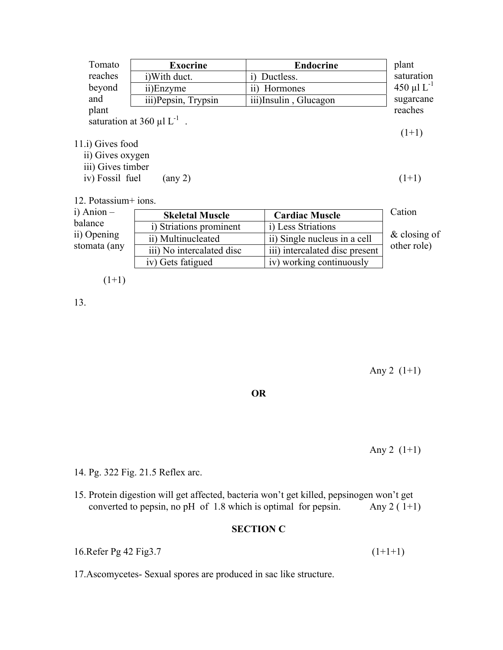| Tomato            | <b>Exocrine</b>                             | <b>Endocrine</b>      | plant            |
|-------------------|---------------------------------------------|-----------------------|------------------|
| reaches           | i) With duct.                               | Ductless.<br>1)       | saturation       |
| beyond            | ii)Enzyme                                   | Hormones<br>11)       | $450 \mu L^{-1}$ |
| and               | iii) Pepsin, Trypsin                        | iii)Insulin, Glucagon | sugarcane        |
| plant             |                                             |                       | reaches          |
|                   | saturation at 360 $\mu$ l L <sup>-1</sup> . |                       |                  |
|                   |                                             |                       | $(1+1)$          |
| 11.i) Gives food  |                                             |                       |                  |
| ii) Gives oxygen  |                                             |                       |                  |
| iii) Gives timber |                                             |                       |                  |
| iv) Fossil fuel   | $\left( \text{any } 2 \right)$              |                       | $(1+1)$          |
|                   |                                             |                       |                  |

12. Potassium+ ions.

| $i)$ Anion $-$ | <b>Skeletal Muscle</b>    | <b>Cardiac Muscle</b>          | Cation          |
|----------------|---------------------------|--------------------------------|-----------------|
| balance        | i) Striations prominent   | i) Less Striations             |                 |
| ii) Opening    | ii) Multinucleated        | ii) Single nucleus in a cell   | $\&$ closing of |
| stomata (any   | iii) No intercalated disc | iii) intercalated disc present | other role)     |
|                | iv) Gets fatigued         | iv) working continuously       |                 |

$$
(1+1)
$$

13.

Any 2  $(1+1)$ 

**OR**

Any 2  $(1+1)$ 

14. Pg. 322 Fig. 21.5 Reflex arc.

15. Protein digestion will get affected, bacteria won't get killed, pepsinogen won't get converted to pepsin, no pH of 1.8 which is optimal for pepsin. Any  $2(1+1)$ 

# **SECTION C**

16.Refer Pg 42 Fig3.7 (1+1+1)

17.Ascomycetes- Sexual spores are produced in sac like structure.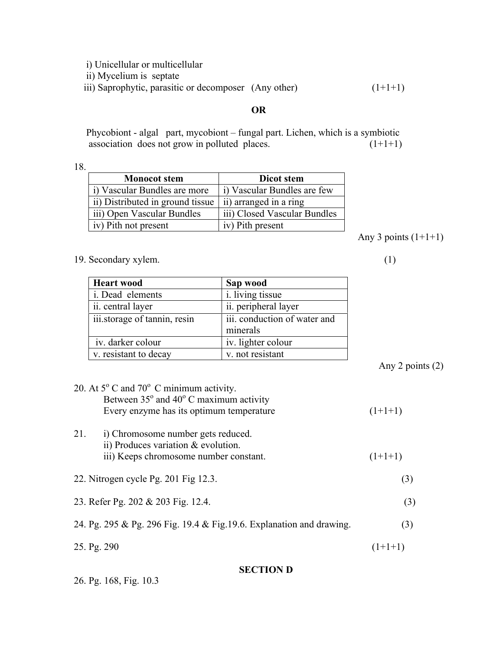i) Unicellular or multicellular

ii) Mycelium is septate

iii) Saprophytic, parasitic or decomposer (Any other)  $(1+1+1)$ 

# **OR**

Phycobiont - algal part, mycobiont – fungal part. Lichen, which is a symbiotic association does not grow in polluted places.  $(1+1+1)$ 

18.

| <b>Monocot</b> stem              | Dicot stem                   |
|----------------------------------|------------------------------|
| i) Vascular Bundles are more     | i) Vascular Bundles are few  |
| ii) Distributed in ground tissue | ii) arranged in a ring       |
| iii) Open Vascular Bundles       | iii) Closed Vascular Bundles |
| iv) Pith not present             | iv) Pith present             |

Any 3 points  $(1+1+1)$ 

19. Secondary xylem. (1)

| <b>Heart wood</b>            | Sap wood                                 |
|------------------------------|------------------------------------------|
| i. Dead elements             | <i>i</i> . living tissue                 |
| ii. central layer            | ii. peripheral layer                     |
| iii.storage of tannin, resin | iii. conduction of water and<br>minerals |
| iv. darker colour            | iv. lighter colour                       |
| v. resistant to decay        | v. not resistant                         |

Any 2 points (2)

| 20. At $5^{\circ}$ C and $70^{\circ}$ C minimum activity.             |           |
|-----------------------------------------------------------------------|-----------|
| Between $35^{\circ}$ and $40^{\circ}$ C maximum activity              |           |
| Every enzyme has its optimum temperature                              | $(1+1+1)$ |
| 21.<br>i) Chromosome number gets reduced.                             |           |
| ii) Produces variation $&$ evolution.                                 |           |
| iii) Keeps chromosome number constant.                                | $(1+1+1)$ |
| 22. Nitrogen cycle Pg. 201 Fig 12.3.                                  | (3)       |
|                                                                       |           |
| 23. Refer Pg. 202 & 203 Fig. 12.4.                                    | (3)       |
| 24. Pg. 295 & Pg. 296 Fig. 19.4 & Fig. 19.6. Explanation and drawing. | (3)       |
| 25. Pg. 290                                                           | $(1+1+1)$ |
| <b>SECTION D</b>                                                      |           |

# 26. Pg. 168, Fig. 10.3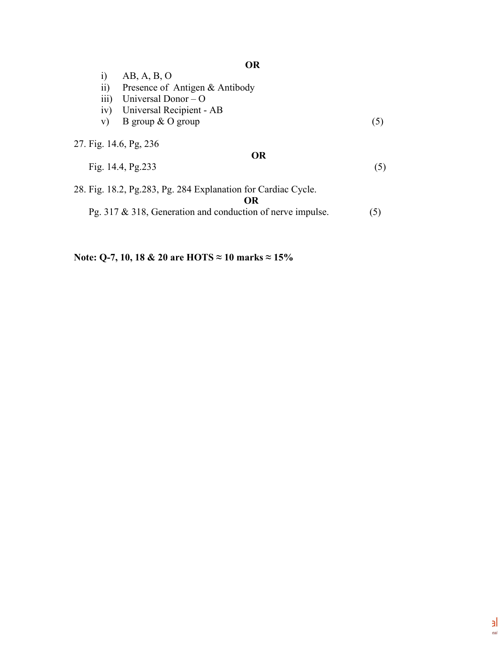|                        | <b>OR</b>                                                            |     |
|------------------------|----------------------------------------------------------------------|-----|
| $\rm i)$               | AB, A, B, O                                                          |     |
| $\overline{ii}$        | Presence of Antigen & Antibody                                       |     |
| $\overline{iii}$       | Universal Donor $-$ O                                                |     |
| iv)                    | Universal Recipient - AB                                             |     |
| V)                     | B group $\&$ O group                                                 | (5) |
| 27. Fig. 14.6, Pg. 236 | <b>OR</b><br>Fig. $14.4$ , Pg. $233$                                 | (5) |
|                        | 28. Fig. 18.2, Pg. 283, Pg. 284 Explanation for Cardiac Cycle.<br>OR |     |
|                        | Pg. 317 $\&$ 318, Generation and conduction of nerve impulse.        | (5) |

**Note: Q-7, 10, 18 & 20 are HOTS ≈ 10 marks ≈ 15%**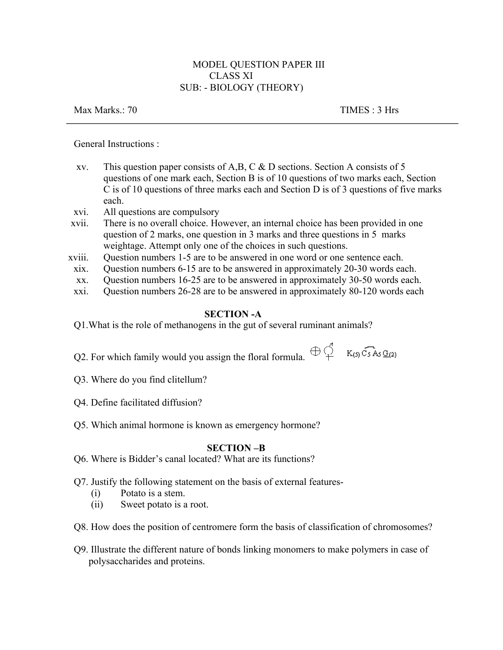# MODEL QUESTION PAPER III CLASS XI SUB: - BIOLOGY (THEORY)

Max Marks.: 70 TIMES : 3 Hrs

General Instructions :

- xv. This question paper consists of A,B, C & D sections. Section A consists of 5 questions of one mark each, Section B is of 10 questions of two marks each, Section C is of 10 questions of three marks each and Section D is of 3 questions of five marks each.
- xvi. All questions are compulsory
- xvii. There is no overall choice. However, an internal choice has been provided in one question of 2 marks, one question in 3 marks and three questions in 5 marks weightage. Attempt only one of the choices in such questions.
- xviii. Question numbers 1-5 are to be answered in one word or one sentence each.
	- xix. Question numbers 6-15 are to be answered in approximately 20-30 words each.
	- xx. Question numbers 16-25 are to be answered in approximately 30-50 words each.
	- xxi. Question numbers 26-28 are to be answered in approximately 80-120 words each

## **SECTION -A**

Q1.What is the role of methanogens in the gut of several ruminant animals?

Q2. For which family would you assign the floral formula.  $\bigoplus_{i=1}^{n}$  K<sub>(5)</sub> C<sub>5</sub> A<sub>5</sub> G<sub>(2)</sub>

- Q3. Where do you find clitellum?
- Q4. Define facilitated diffusion?
- Q5. Which animal hormone is known as emergency hormone?

## **SECTION –B**

- Q6. Where is Bidder's canal located? What are its functions?
- Q7. Justify the following statement on the basis of external features-
	- (i) Potato is a stem.
	- (ii) Sweet potato is a root.
- Q8. How does the position of centromere form the basis of classification of chromosomes?
- Q9. Illustrate the different nature of bonds linking monomers to make polymers in case of polysaccharides and proteins.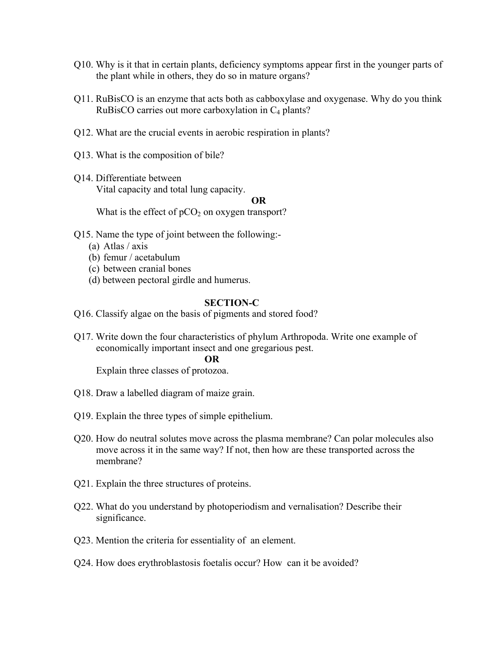- Q10. Why is it that in certain plants, deficiency symptoms appear first in the younger parts of the plant while in others, they do so in mature organs?
- Q11. RuBisCO is an enzyme that acts both as cabboxylase and oxygenase. Why do you think RuBisCO carries out more carboxylation in  $C_4$  plants?
- Q12. What are the crucial events in aerobic respiration in plants?
- Q13. What is the composition of bile?
- Q14. Differentiate between Vital capacity and total lung capacity.

#### **OR**

What is the effect of  $pCO<sub>2</sub>$  on oxygen transport?

- Q15. Name the type of joint between the following:-
	- (a) Atlas / axis
	- (b) femur / acetabulum
	- (c) between cranial bones
	- (d) between pectoral girdle and humerus.

### **SECTION-C**

- Q16. Classify algae on the basis of pigments and stored food?
- Q17. Write down the four characteristics of phylum Arthropoda. Write one example of economically important insect and one gregarious pest.

#### **OR**

Explain three classes of protozoa.

- Q18. Draw a labelled diagram of maize grain.
- Q19. Explain the three types of simple epithelium.
- Q20. How do neutral solutes move across the plasma membrane? Can polar molecules also move across it in the same way? If not, then how are these transported across the membrane?
- Q21. Explain the three structures of proteins.
- Q22. What do you understand by photoperiodism and vernalisation? Describe their significance.
- Q23. Mention the criteria for essentiality of an element.
- Q24. How does erythroblastosis foetalis occur? How can it be avoided?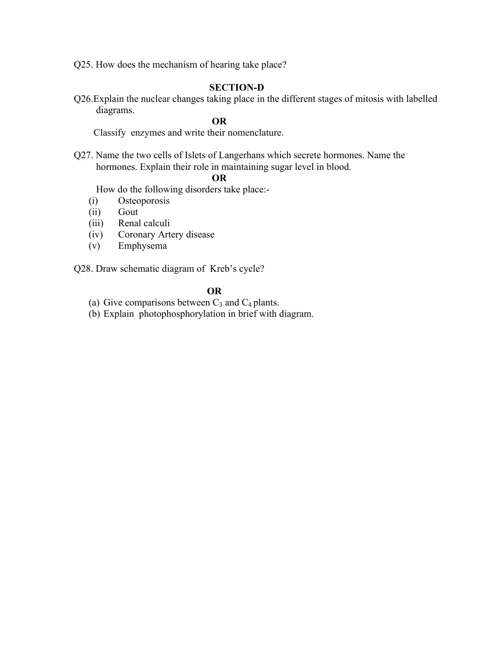Q25. How does the mechanism of hearing take place?

## **SECTION-D**

Q26.Explain the nuclear changes taking place in the different stages of mitosis with labelled diagrams.

# **OR**

Classify enzymes and write their nomenclature.

Q27. Name the two cells of Islets of Langerhans which secrete hormones. Name the hormones. Explain their role in maintaining sugar level in blood.

# **OR**

How do the following disorders take place:-

- (i) Osteoporosis
- (ii) Gout
- (iii) Renal calculi
- (iv) Coronary Artery disease
- (v) Emphysema

Q28. Draw schematic diagram of Kreb's cycle?

### **OR**

- (a) Give comparisons between  $C_3$  and  $C_4$  plants.
- (b) Explain photophosphorylation in brief with diagram.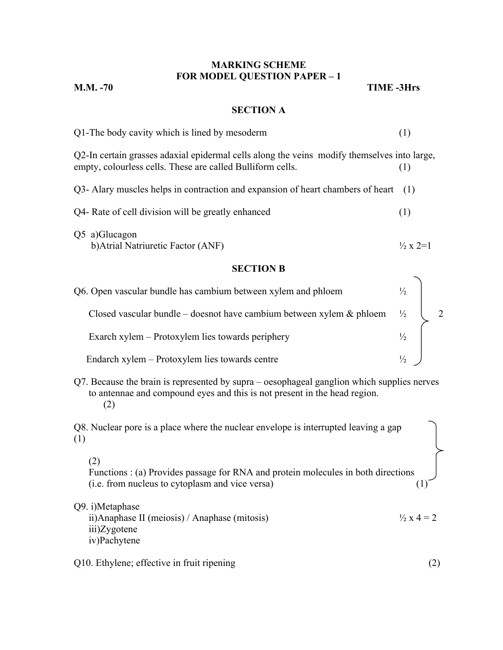# **MARKING SCHEME FOR MODEL QUESTION PAPER – 1**

**M.M. -70 TIME -3Hrs**

# **SECTION A**

| Q1-The body cavity which is lined by mesoderm                                                                                                                                  | (1)                        |
|--------------------------------------------------------------------------------------------------------------------------------------------------------------------------------|----------------------------|
| Q2-In certain grasses adaxial epidermal cells along the veins modify themselves into large,<br>empty, colourless cells. These are called Bulliform cells.                      | (1)                        |
| Q3- Alary muscles helps in contraction and expansion of heart chambers of heart                                                                                                | (1)                        |
| Q4- Rate of cell division will be greatly enhanced                                                                                                                             | (1)                        |
| Q5 a)Glucagon<br>b) Atrial Natriuretic Factor (ANF)                                                                                                                            | $\frac{1}{2} \times 2 = 1$ |
| <b>SECTION B</b>                                                                                                                                                               |                            |
| Q6. Open vascular bundle has cambium between xylem and phloem                                                                                                                  | $\frac{1}{2}$              |
| Closed vascular bundle – doesnot have cambium between xylem $\&$ phloem                                                                                                        | $\frac{1}{2}$              |
| Exarch xylem – Protoxylem lies towards periphery                                                                                                                               | $\frac{1}{2}$              |
| Endarch xylem – Protoxylem lies towards centre                                                                                                                                 | $\frac{1}{2}$              |
| Q7. Because the brain is represented by supra – oesophageal ganglion which supplies nerves<br>to antennae and compound eyes and this is not present in the head region.<br>(2) |                            |
| Q8. Nuclear pore is a place where the nuclear envelope is interrupted leaving a gap<br>(1)                                                                                     |                            |
| (2)<br>Functions : (a) Provides passage for RNA and protein molecules in both directions<br>(i.e. from nucleus to cytoplasm and vice versa)                                    |                            |
| Q9. i)Metaphase<br>ii) Anaphase II (meiosis) / Anaphase (mitosis)<br>iii)Zygotene<br>iv)Pachytene                                                                              | $\frac{1}{2}x 4 = 2$       |
| Q10. Ethylene; effective in fruit ripening                                                                                                                                     | (2)                        |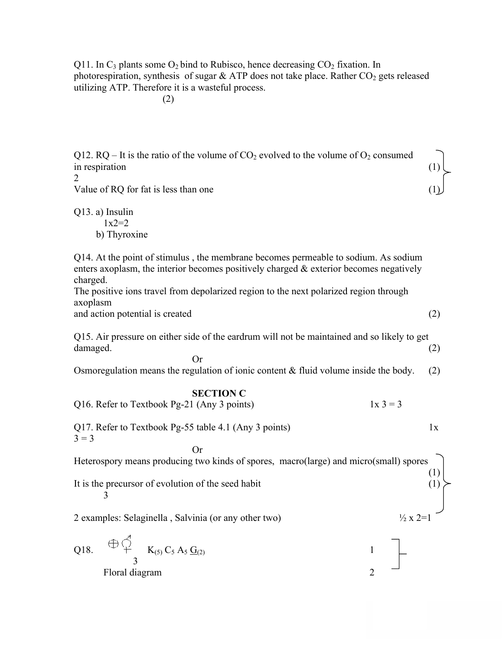Q11. In  $C_3$  plants some  $O_2$  bind to Rubisco, hence decreasing  $CO_2$  fixation. In photorespiration, synthesis of sugar  $&$  ATP does not take place. Rather  $CO<sub>2</sub>$  gets released utilizing ATP. Therefore it is a wasteful process.

(2)

Q12. RQ – It is the ratio of the volume of  $CO_2$  evolved to the volume of  $O_2$  consumed in respiration

 $\mathfrak{D}$ 

Value of RQ for fat is less than one

Q13. a) Insulin  $1x2=2$ b) Thyroxine

Q14. At the point of stimulus , the membrane becomes permeable to sodium. As sodium enters axoplasm, the interior becomes positively charged & exterior becomes negatively charged.

The positive ions travel from depolarized region to the next polarized region through axoplasm

and action potential is created  $(2)$ 

Q15. Air pressure on either side of the eardrum will not be maintained and so likely to get damaged. (2)

Osmoregulation means the regulation of ionic content  $&$  fluid volume inside the body. (2)

### **SECTION C**

Or

Q16. Refer to Textbook Pg-21 (Any 3 points)  $1x 3 = 3$ Q17. Refer to Textbook Pg-55 table 4.1 (Any 3 points)  $1x$  $3 = 3$ Or Heterospory means producing two kinds of spores, macro(large) and micro(small) spores  $(1)$ <br> $(1)$ It is the precursor of evolution of the seed habit 3 2 examples: Selaginella, Salvinia (or any other two)  $\frac{1}{2}$  x 2=1 Q18.  $\forall x \in K_{(5)} C_5 A_5 G_{(2)}$  1 3

Floral diagram 2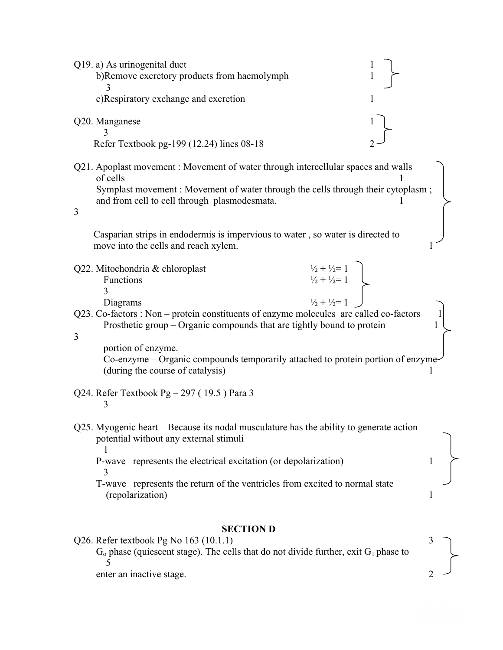| Q19. a) As urinogenital duct<br>b)Remove excretory products from haemolymph                                                                                                                                                                                                                                                                                                                                                                                                                                           |   |
|-----------------------------------------------------------------------------------------------------------------------------------------------------------------------------------------------------------------------------------------------------------------------------------------------------------------------------------------------------------------------------------------------------------------------------------------------------------------------------------------------------------------------|---|
| c)Respiratory exchange and excretion<br>1                                                                                                                                                                                                                                                                                                                                                                                                                                                                             |   |
| Q20. Manganese<br>Refer Textbook pg-199 (12.24) lines 08-18                                                                                                                                                                                                                                                                                                                                                                                                                                                           |   |
| Q21. Apoplast movement: Movement of water through intercellular spaces and walls<br>of cells<br>Symplast movement: Movement of water through the cells through their cytoplasm;<br>and from cell to cell through plasmodesmata.<br>3                                                                                                                                                                                                                                                                                  |   |
| Casparian strips in endodermis is impervious to water, so water is directed to<br>move into the cells and reach xylem.                                                                                                                                                                                                                                                                                                                                                                                                |   |
| $\begin{array}{c} \frac{1}{2} + \frac{1}{2} = 1 \\ \frac{1}{2} + \frac{1}{2} = 1 \\ \frac{1}{2} + \frac{1}{2} = 1 \end{array}$<br>Q22. Mitochondria & chloroplast<br>Functions<br>3<br>Diagrams<br>Q23. Co-factors : Non – protein constituents of enzyme molecules are called co-factors<br>Prosthetic group – Organic compounds that are tightly bound to protein<br>3<br>portion of enzyme.<br>Co-enzyme – Organic compounds temporarily attached to protein portion of enzyme<br>(during the course of catalysis) |   |
| Q24. Refer Textbook Pg $-297$ (19.5) Para 3<br>3                                                                                                                                                                                                                                                                                                                                                                                                                                                                      |   |
| Q25. Myogenic heart – Because its nodal musculature has the ability to generate action<br>potential without any external stimuli<br>P-wave represents the electrical excitation (or depolarization)<br>3<br>T-wave represents the return of the ventricles from excited to normal state<br>(repolarization)                                                                                                                                                                                                           | 1 |
| <b>SECTION D</b><br>Q26. Refer textbook Pg No $163$ (10.1.1)                                                                                                                                                                                                                                                                                                                                                                                                                                                          |   |
| $G_0$ phase (quiescent stage). The cells that do not divide further, exit $G_1$ phase to<br>5<br>enter an inactive stage.                                                                                                                                                                                                                                                                                                                                                                                             |   |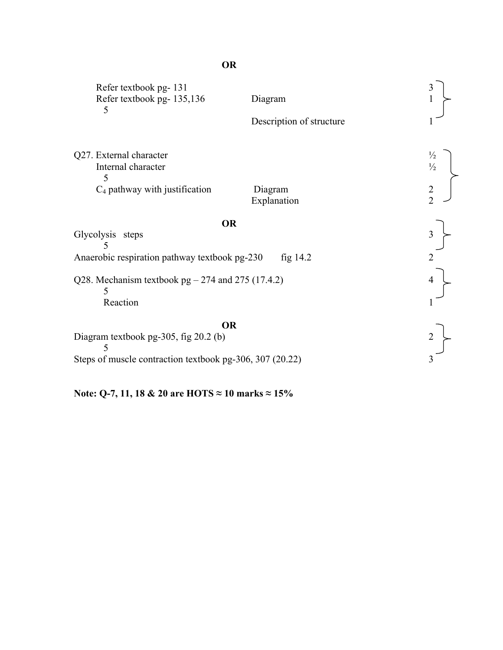| Refer textbook pg-131<br>Refer textbook pg-135,136<br>5  | Diagram                  |                                |
|----------------------------------------------------------|--------------------------|--------------------------------|
|                                                          | Description of structure |                                |
| Q27. External character<br>Internal character<br>5       |                          | $\frac{1}{2}$<br>$\frac{1}{2}$ |
| $C_4$ pathway with justification                         | Diagram<br>Explanation   | $\frac{2}{2}$                  |
| <b>OR</b>                                                |                          |                                |
| Glycolysis steps                                         |                          |                                |
| Anaerobic respiration pathway textbook pg-230            | fig 14.2                 |                                |
| Q28. Mechanism textbook $pg - 274$ and 275 (17.4.2)<br>5 |                          |                                |
| Reaction                                                 |                          |                                |
| <b>OR</b><br>Diagram textbook pg-305, fig 20.2 (b)<br>5  |                          |                                |
| Steps of muscle contraction textbook pg-306, 307 (20.22) |                          |                                |

**Note: Q-7, 11, 18 & 20 are HOTS ≈ 10 marks ≈ 15%**

# **OR**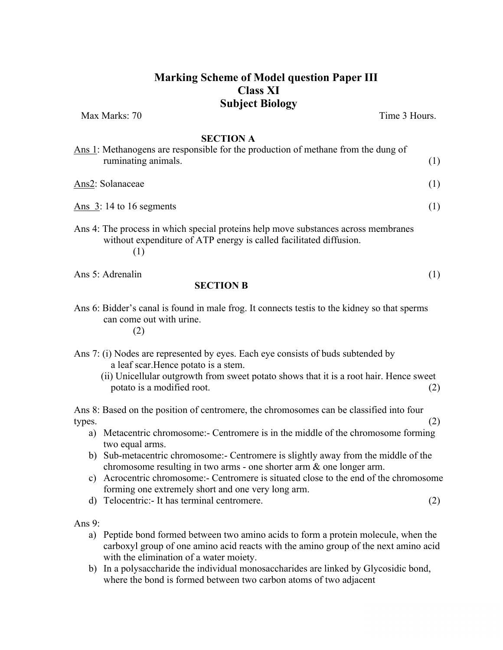# **Marking Scheme of Model question Paper III Class XI Subject Biology**

Max Marks: 70 Time 3 Hours.

### **SECTION A**

| Ans 1: Methanogens are responsible for the production of methane from the dung of<br>ruminating animals. |  |
|----------------------------------------------------------------------------------------------------------|--|
| Ans2: Solanaceae                                                                                         |  |
| Ans $3:14$ to 16 segments                                                                                |  |
|                                                                                                          |  |

- Ans 4: The process in which special proteins help move substances across membranes without expenditure of ATP energy is called facilitated diffusion. (1)
- Ans 5: Adrenalin (1) (1)

### **SECTION B**

Ans 6: Bidder's canal is found in male frog. It connects testis to the kidney so that sperms can come out with urine.

(2)

- Ans 7: (i) Nodes are represented by eyes. Each eye consists of buds subtended by a leaf scar.Hence potato is a stem.
	- (ii) Unicellular outgrowth from sweet potato shows that it is a root hair. Hence sweet potato is a modified root. (2)

Ans 8: Based on the position of centromere, the chromosomes can be classified into four  $\text{types.} \tag{2}$ 

- a) Metacentric chromosome:- Centromere is in the middle of the chromosome forming two equal arms.
- b) Sub-metacentric chromosome:- Centromere is slightly away from the middle of the chromosome resulting in two arms - one shorter arm & one longer arm.
- c) Acrocentric chromosome:- Centromere is situated close to the end of the chromosome forming one extremely short and one very long arm.
- d) Telocentric:- It has terminal centromere. (2)

Ans 9:

- a) Peptide bond formed between two amino acids to form a protein molecule, when the carboxyl group of one amino acid reacts with the amino group of the next amino acid with the elimination of a water moiety.
- b) In a polysaccharide the individual monosaccharides are linked by Glycosidic bond, where the bond is formed between two carbon atoms of two adjacent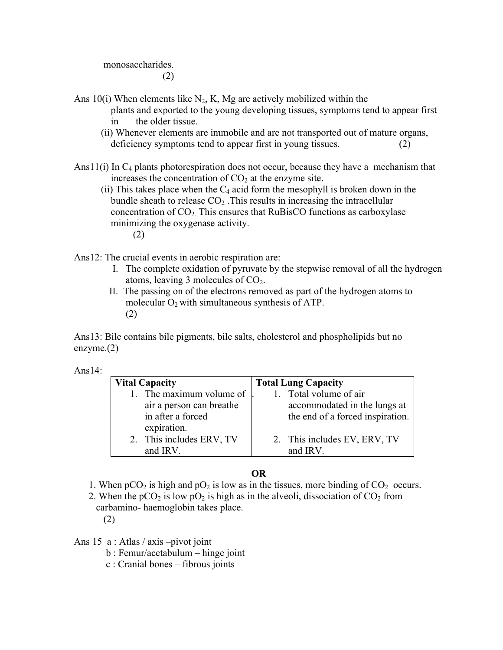monosaccharides.

(2)

- Ans 10(i) When elements like  $N_2$ , K, Mg are actively mobilized within the plants and exported to the young developing tissues, symptoms tend to appear first in the older tissue.
	- (ii) Whenever elements are immobile and are not transported out of mature organs, deficiency symptoms tend to appear first in young tissues. (2)
- Ans $11(i)$  In  $C_4$  plants photorespiration does not occur, because they have a mechanism that increases the concentration of  $CO<sub>2</sub>$  at the enzyme site.
	- (ii) This takes place when the  $C_4$  acid form the mesophyll is broken down in the bundle sheath to release  $CO<sub>2</sub>$ . This results in increasing the intracellular concentration of  $CO<sub>2</sub>$ . This ensures that RuBisCO functions as carboxylase minimizing the oxygenase activity. (2)
- Ans12: The crucial events in aerobic respiration are:
	- I. The complete oxidation of pyruvate by the stepwise removal of all the hydrogen atoms, leaving 3 molecules of  $CO<sub>2</sub>$ .
	- II. The passing on of the electrons removed as part of the hydrogen atoms to molecular  $O_2$  with simultaneous synthesis of ATP. (2)

Ans13: Bile contains bile pigments, bile salts, cholesterol and phospholipids but no enzyme.(2)

Ans $14$ :

| <b>Vital Capacity</b>                                                  | <b>Total Lung Capacity</b>                                                                 |
|------------------------------------------------------------------------|--------------------------------------------------------------------------------------------|
| The maximum volume of<br>air a person can breathe<br>in after a forced | 1. Total volume of air<br>accommodated in the lungs at<br>the end of a forced inspiration. |
| expiration.<br>2. This includes ERV, TV<br>and IRV.                    | 2. This includes EV, ERV, TV<br>and IRV.                                                   |

# **OR**

- 1. When  $pCO_2$  is high and  $pO_2$  is low as in the tissues, more binding of  $CO_2$  occurs.
- 2. When the  $pCO_2$  is low  $pO_2$  is high as in the alveoli, dissociation of  $CO_2$  from carbamino- haemoglobin takes place.

(2)

Ans 15 a : Atlas / axis –pivot joint

- b : Femur/acetabulum hinge joint
- c : Cranial bones fibrous joints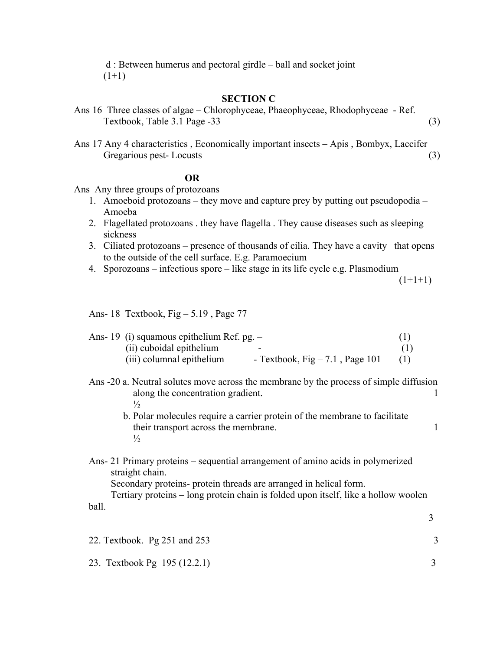d : Between humerus and pectoral girdle – ball and socket joint  $(1+1)$ 

### **SECTION C**

- Ans 16 Three classes of algae Chlorophyceae, Phaeophyceae, Rhodophyceae Ref. Textbook, Table 3.1 Page -33 (3)
- Ans 17 Any 4 characteristics , Economically important insects Apis , Bombyx, Laccifer Gregarious pest- Locusts (3)

## **OR**

Ans Any three groups of protozoans

- 1. Amoeboid protozoans they move and capture prey by putting out pseudopodia Amoeba
- 2. Flagellated protozoans . they have flagella . They cause diseases such as sleeping sickness
- 3. Ciliated protozoans presence of thousands of cilia. They have a cavity that opens to the outside of the cell surface. E.g. Paramoecium
- 4. Sporozoans infectious spore like stage in its life cycle e.g. Plasmodium

 $(1+1+1)$ 

Ans- 18 Textbook, Fig – 5.19 , Page 77

|  | Ans- 19 (i) squamous epithelium Ref. pg. $-$ |                                   |  |
|--|----------------------------------------------|-----------------------------------|--|
|  | (ii) cuboidal epithelium                     | -                                 |  |
|  | (iii) columnal epithelium                    | - Textbook, Fig $-7.1$ , Page 101 |  |

- Ans -20 a. Neutral solutes move across the membrane by the process of simple diffusion along the concentration gradient.  $\frac{1}{2}$ 
	- b. Polar molecules require a carrier protein of the membrane to facilitate their transport across the membrane. 1  $\frac{1}{2}$
- Ans- 21 Primary proteins sequential arrangement of amino acids in polymerized straight chain.

Secondary proteins- protein threads are arranged in helical form.

Tertiary proteins – long protein chain is folded upon itself, like a hollow woolen ball. 3

22. Textbook. Pg 251 and 253 3

23. Textbook Pg 195 (12.2.1) 3